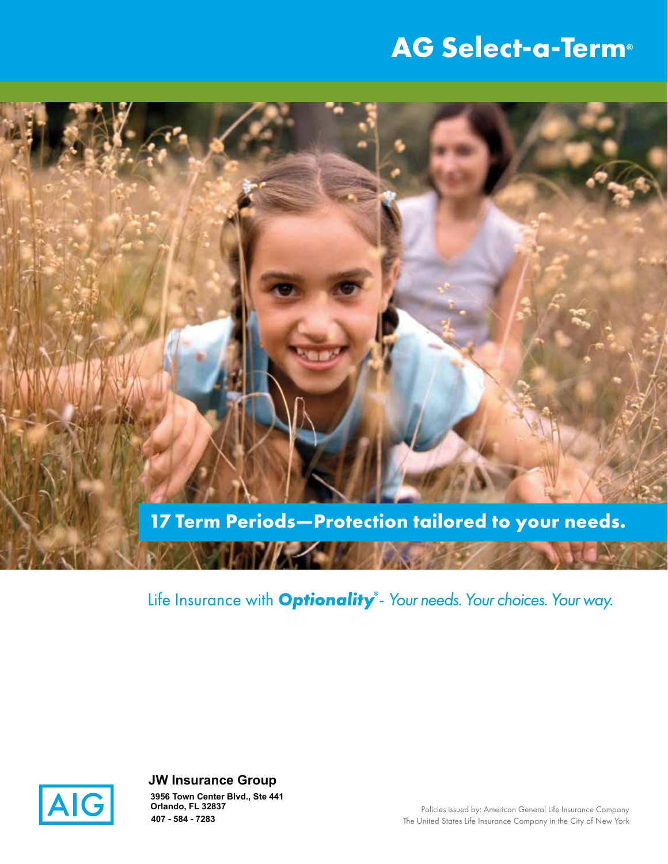# **AG Select-a-Term®**



Life Insurance with Optionality<sup>®</sup>- Your needs. Your choices. Your way.



**JW Insurance Group 407 - 584 - 7283 3956 Town Center Blvd., Ste 441 Orlando, FL 32837**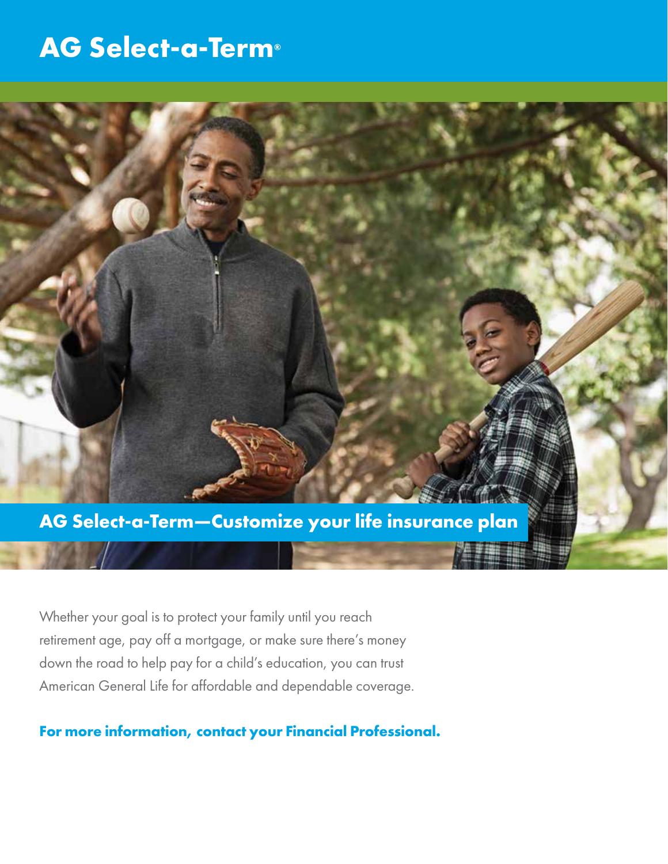## **AG Select-a-Term®**



Whether your goal is to protect your family until you reach retirement age, pay off a mortgage, or make sure there's money down the road to help pay for a child's education, you can trust American General Life for affordable and dependable coverage.

**For more information, contact your Financial Professional.**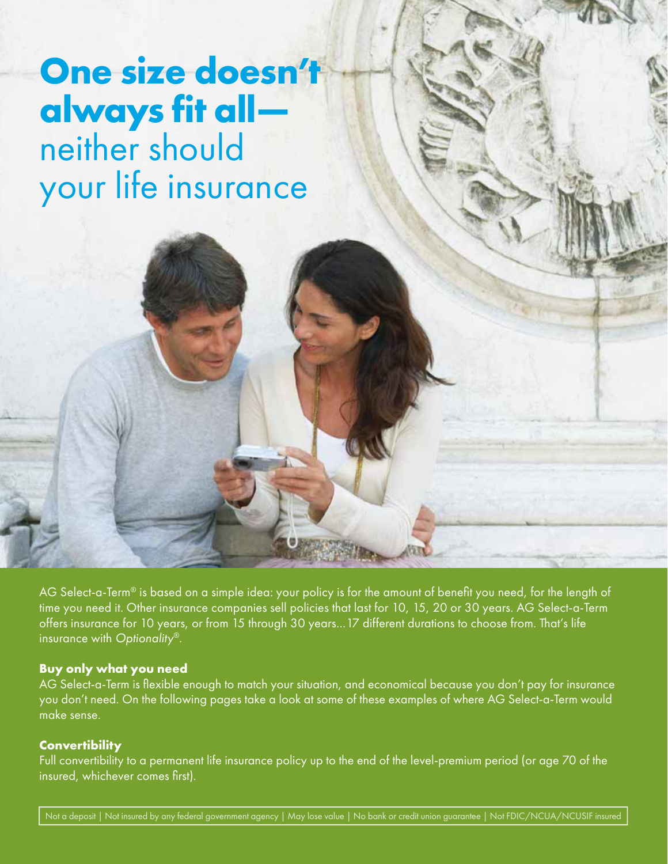# **One size doesn't always fit all** neither should your life insurance

AG Select-a-Term® is based on a simple idea: your policy is for the amount of benefit you need, for the length of time you need it. Other insurance companies sell policies that last for 10, 15, 20 or 30 years. AG Select-a-Term offers insurance for 10 years, or from 15 through 30 years…17 different durations to choose from. That's life insurance with Optionality®.

#### **Buy only what you need**

AG Select-a-Term is flexible enough to match your situation, and economical because you don't pay for insurance you don't need. On the following pages take a look at some of these examples of where AG Select-a-Term would make sense.

#### **Convertibility**

Full convertibility to a permanent life insurance policy up to the end of the level-premium period (or age 70 of the insured, whichever comes first).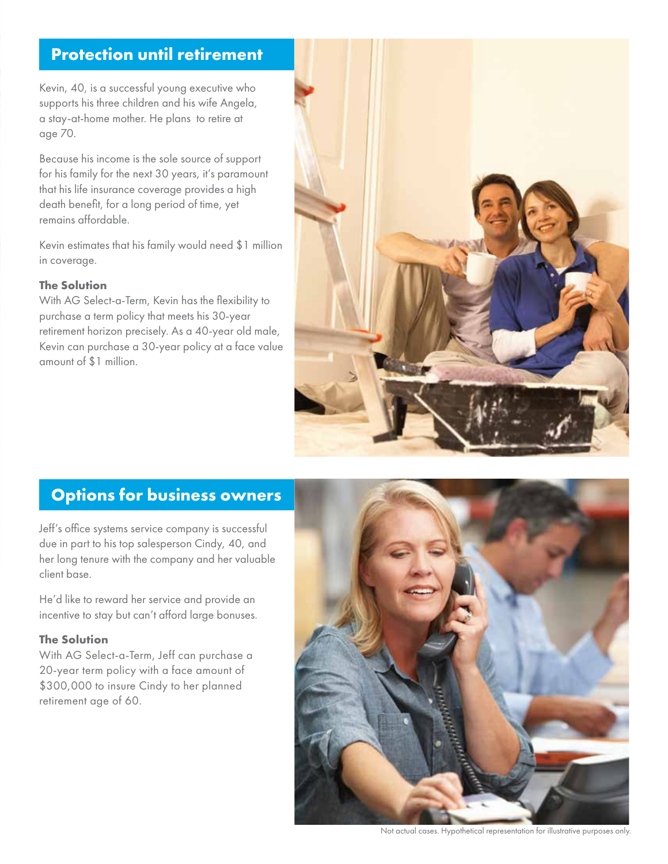## **Protection until retirement**

Kevin, 40, is a successful young executive who supports his three children and his wife Angela, a stay-at-home mother. He plans to retire at age 70.

Because his income is the sole source of support for his family for the next 30 years, it's paramount that his life insurance coverage provides a high death benefit, for a long period of time, yet remains affordable.

Kevin estimates that his family would need \$1 million in coverage.

#### **The Solution**

With AG Select-a-Term, Kevin has the flexibility to purchase a term policy that meets his 30-year retirement horizon precisely. As a 40-year old male, Kevin can purchase a 30-year policy at a face value amount of \$1 million.



## **Options for business owners**

Jeff's office systems service company is successful due in part to his top salesperson Cindy, 40, and her long tenure with the company and her valuable client base.

He'd like to reward her service and provide an incentive to stay but can't afford large bonuses.

#### **The Solution**

With AG Select-a-Term, Jeff can purchase a 20-year term policy with a face amount of \$300,000 to insure Cindy to her planned retirement age of 60.



Not actual cases. Hypothetical representation for illustrative purposes only.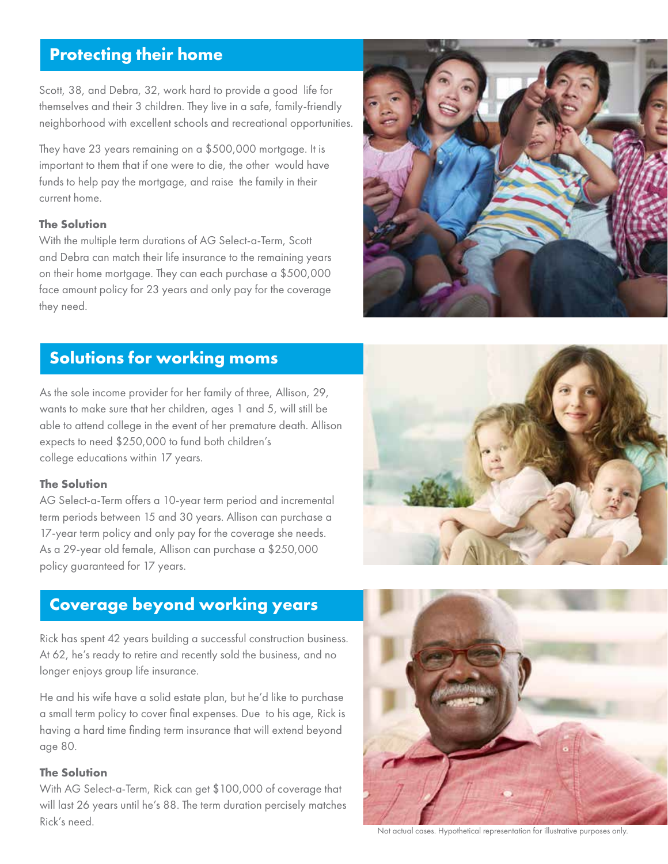## **Protecting their home**

Scott, 38, and Debra, 32, work hard to provide a good life for themselves and their 3 children. They live in a safe, family-friendly neighborhood with excellent schools and recreational opportunities.

They have 23 years remaining on a \$500,000 mortgage. It is important to them that if one were to die, the other would have funds to help pay the mortgage, and raise the family in their current home.

#### **The Solution**

With the multiple term durations of AG Select-a-Term, Scott and Debra can match their life insurance to the remaining years on their home mortgage. They can each purchase a \$500,000 face amount policy for 23 years and only pay for the coverage they need.



## **Solutions for working moms**

As the sole income provider for her family of three, Allison, 29, wants to make sure that her children, ages 1 and 5, will still be able to attend college in the event of her premature death. Allison expects to need \$250,000 to fund both children's college educations within 17 years.

#### **The Solution**

AG Select-a-Term offers a 10-year term period and incremental term periods between 15 and 30 years. Allison can purchase a 17-year term policy and only pay for the coverage she needs. As a 29-year old female, Allison can purchase a \$250,000 policy guaranteed for 17 years.



### **Coverage beyond working years**

Rick has spent 42 years building a successful construction business. At 62, he's ready to retire and recently sold the business, and no longer enjoys group life insurance.

He and his wife have a solid estate plan, but he'd like to purchase a small term policy to cover final expenses. Due to his age, Rick is having a hard time finding term insurance that will extend beyond age 80.

#### **The Solution**

With AG Select-a-Term, Rick can get \$100,000 of coverage that will last 26 years until he's 88. The term duration percisely matches Rick's need.



Not actual cases. Hypothetical representation for illustrative purposes only.